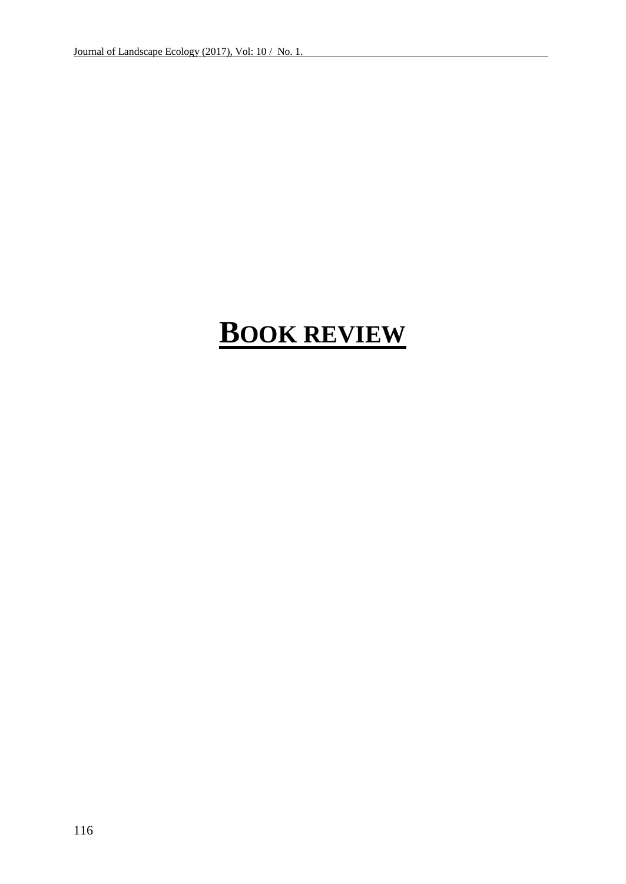## **BOOK REVIEW**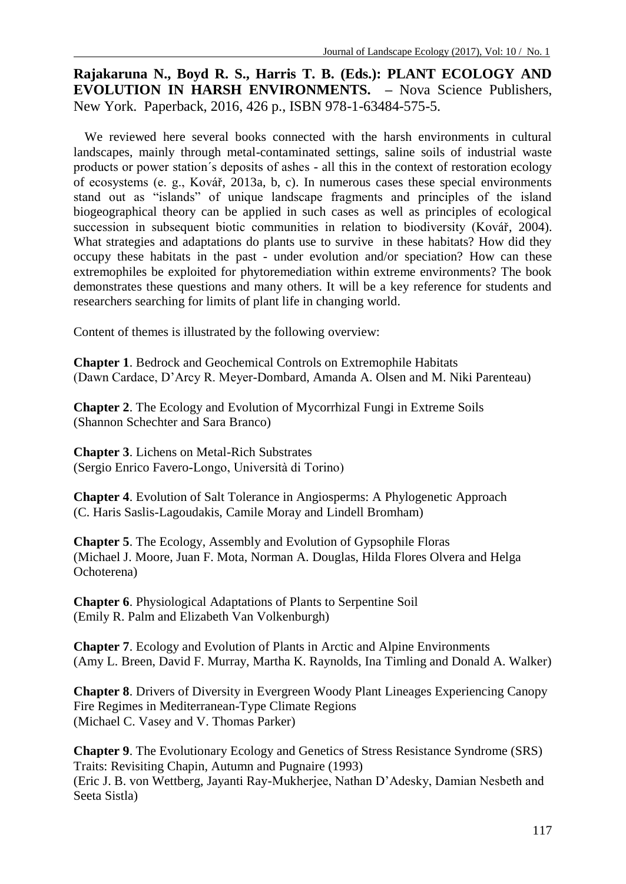**Rajakaruna N., Boyd R. S., Harris T. B. (Eds.): PLANT ECOLOGY AND EVOLUTION IN HARSH ENVIRONMENTS. –** Nova Science Publishers, New York. Paperback, 2016, 426 p., ISBN 978-1-63484-575-5.

We reviewed here several books connected with the harsh environments in cultural landscapes, mainly through metal-contaminated settings, saline soils of industrial waste products or power station´s deposits of ashes - all this in the context of restoration ecology of ecosystems (e. g., Kovář, 2013a, b, c). In numerous cases these special environments stand out as "islands" of unique landscape fragments and principles of the island biogeographical theory can be applied in such cases as well as principles of ecological succession in subsequent biotic communities in relation to biodiversity (Kovář, 2004). What strategies and adaptations do plants use to survive in these habitats? How did they occupy these habitats in the past - under evolution and/or speciation? How can these extremophiles be exploited for phytoremediation within extreme environments? The book demonstrates these questions and many others. It will be a key reference for students and researchers searching for limits of plant life in changing world.

Content of themes is illustrated by the following overview:

**Chapter 1**. Bedrock and Geochemical Controls on Extremophile Habitats (Dawn Cardace, D'Arcy R. Meyer-Dombard, Amanda A. Olsen and M. Niki Parenteau)

**Chapter 2**. The Ecology and Evolution of Mycorrhizal Fungi in Extreme Soils (Shannon Schechter and Sara Branco)

**Chapter 3**. Lichens on Metal-Rich Substrates (Sergio Enrico Favero-Longo, Università di Torino)

**Chapter 4**. Evolution of Salt Tolerance in Angiosperms: A Phylogenetic Approach (C. Haris Saslis-Lagoudakis, Camile Moray and Lindell Bromham)

**Chapter 5**. The Ecology, Assembly and Evolution of Gypsophile Floras (Michael J. Moore, Juan F. Mota, Norman A. Douglas, Hilda Flores Olvera and Helga Ochoterena)

**Chapter 6**. Physiological Adaptations of Plants to Serpentine Soil (Emily R. Palm and Elizabeth Van Volkenburgh)

**Chapter 7**. Ecology and Evolution of Plants in Arctic and Alpine Environments (Amy L. Breen, David F. Murray, Martha K. Raynolds, Ina Timling and Donald A. Walker)

**Chapter 8**. Drivers of Diversity in Evergreen Woody Plant Lineages Experiencing Canopy Fire Regimes in Mediterranean-Type Climate Regions (Michael C. Vasey and V. Thomas Parker)

**Chapter 9**. The Evolutionary Ecology and Genetics of Stress Resistance Syndrome (SRS) Traits: Revisiting Chapin, Autumn and Pugnaire (1993) (Eric J. B. von Wettberg, Jayanti Ray-Mukherjee, Nathan D'Adesky, Damian Nesbeth and Seeta Sistla)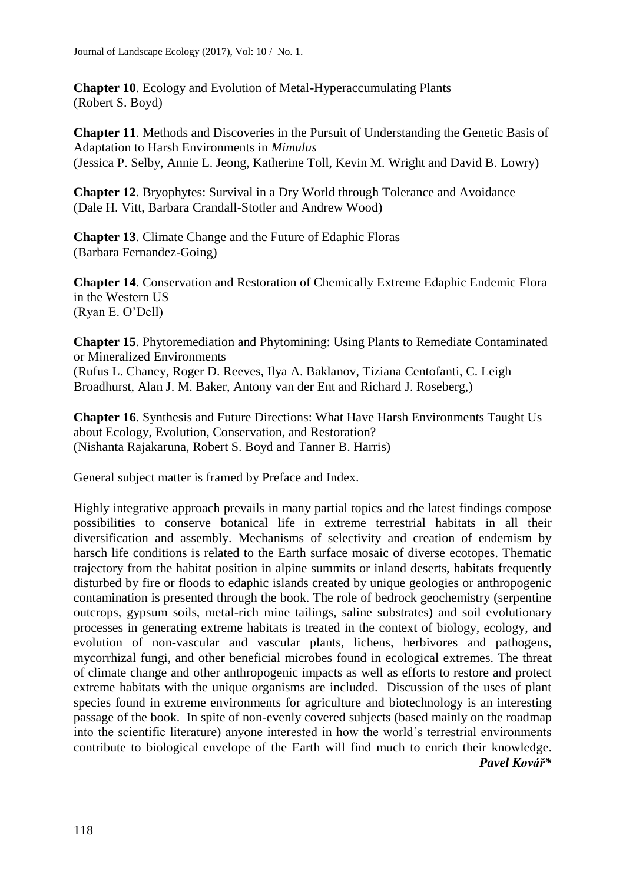**Chapter 10**. Ecology and Evolution of Metal-Hyperaccumulating Plants (Robert S. Boyd)

**Chapter 11**. Methods and Discoveries in the Pursuit of Understanding the Genetic Basis of Adaptation to Harsh Environments in *Mimulus* (Jessica P. Selby, Annie L. Jeong, Katherine Toll, Kevin M. Wright and David B. Lowry)

**Chapter 12**. Bryophytes: Survival in a Dry World through Tolerance and Avoidance (Dale H. Vitt, Barbara Crandall-Stotler and Andrew Wood)

**Chapter 13**. Climate Change and the Future of Edaphic Floras (Barbara Fernandez-Going)

**Chapter 14**. Conservation and Restoration of Chemically Extreme Edaphic Endemic Flora in the Western US (Ryan E. O'Dell)

**Chapter 15**. Phytoremediation and Phytomining: Using Plants to Remediate Contaminated or Mineralized Environments (Rufus L. Chaney, Roger D. Reeves, Ilya A. Baklanov, Tiziana Centofanti, C. Leigh Broadhurst, Alan J. M. Baker, Antony van der Ent and Richard J. Roseberg,)

**Chapter 16**. Synthesis and Future Directions: What Have Harsh Environments Taught Us about Ecology, Evolution, Conservation, and Restoration? (Nishanta Rajakaruna, Robert S. Boyd and Tanner B. Harris)

General subject matter is framed by Preface and Index.

Highly integrative approach prevails in many partial topics and the latest findings compose possibilities to conserve botanical life in extreme terrestrial habitats in all their diversification and assembly. Mechanisms of selectivity and creation of endemism by harsch life conditions is related to the Earth surface mosaic of diverse ecotopes. Thematic trajectory from the habitat position in alpine summits or inland deserts, habitats frequently disturbed by fire or floods to edaphic islands created by unique geologies or anthropogenic contamination is presented through the book. The role of bedrock geochemistry (serpentine outcrops, gypsum soils, metal-rich mine tailings, saline substrates) and soil evolutionary processes in generating extreme habitats is treated in the context of biology, ecology, and evolution of non-vascular and vascular plants, lichens, herbivores and pathogens, mycorrhizal fungi, and other beneficial microbes found in ecological extremes. The threat of climate change and other anthropogenic impacts as well as efforts to restore and protect extreme habitats with the unique organisms are included. Discussion of the uses of plant species found in extreme environments for agriculture and biotechnology is an interesting passage of the book. In spite of non-evenly covered subjects (based mainly on the roadmap into the scientific literature) anyone interested in how the world's terrestrial environments contribute to biological envelope of the Earth will find much to enrich their knowledge. *Pavel Kovář\**